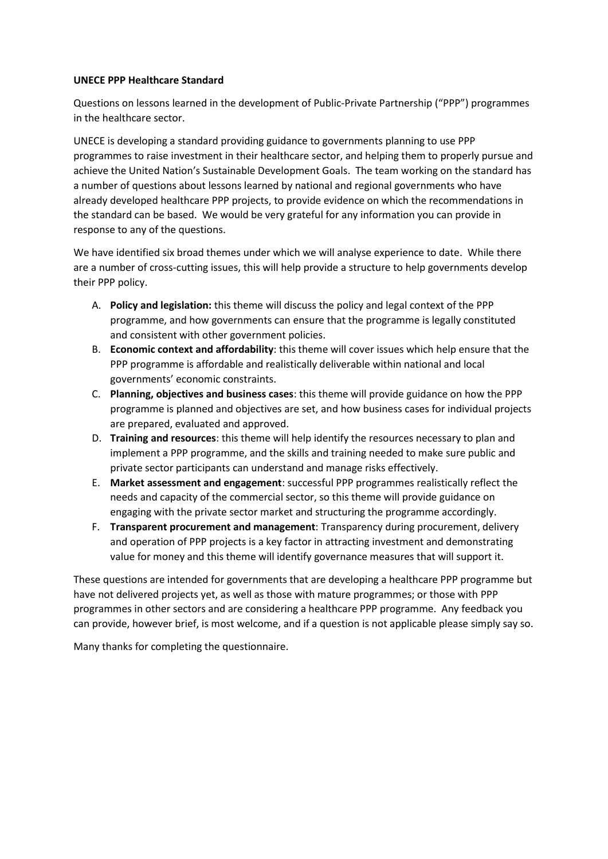#### **UNECE PPP Healthcare Standard**

Questions on lessons learned in the development of Public-Private Partnership ("PPP") programmes in the healthcare sector.

UNECE is developing a standard providing guidance to governments planning to use PPP programmes to raise investment in their healthcare sector, and helping them to properly pursue and achieve the United Nation's Sustainable Development Goals. The team working on the standard has a number of questions about lessons learned by national and regional governments who have already developed healthcare PPP projects, to provide evidence on which the recommendations in the standard can be based. We would be very grateful for any information you can provide in response to any of the questions.

We have identified six broad themes under which we will analyse experience to date. While there are a number of cross-cutting issues, this will help provide a structure to help governments develop their PPP policy.

- A. **Policy and legislation:** this theme will discuss the policy and legal context of the PPP programme, and how governments can ensure that the programme is legally constituted and consistent with other government policies.
- B. **Economic context and affordability**: this theme will cover issues which help ensure that the PPP programme is affordable and realistically deliverable within national and local governments' economic constraints.
- C. **Planning, objectives and business cases**: this theme will provide guidance on how the PPP programme is planned and objectives are set, and how business cases for individual projects are prepared, evaluated and approved.
- D. **Training and resources**: this theme will help identify the resources necessary to plan and implement a PPP programme, and the skills and training needed to make sure public and private sector participants can understand and manage risks effectively.
- E. **Market assessment and engagement**: successful PPP programmes realistically reflect the needs and capacity of the commercial sector, so this theme will provide guidance on engaging with the private sector market and structuring the programme accordingly.
- F. **Transparent procurement and management**: Transparency during procurement, delivery and operation of PPP projects is a key factor in attracting investment and demonstrating value for money and this theme will identify governance measures that will support it.

These questions are intended for governments that are developing a healthcare PPP programme but have not delivered projects yet, as well as those with mature programmes; or those with PPP programmes in other sectors and are considering a healthcare PPP programme. Any feedback you can provide, however brief, is most welcome, and if a question is not applicable please simply say so.

Many thanks for completing the questionnaire.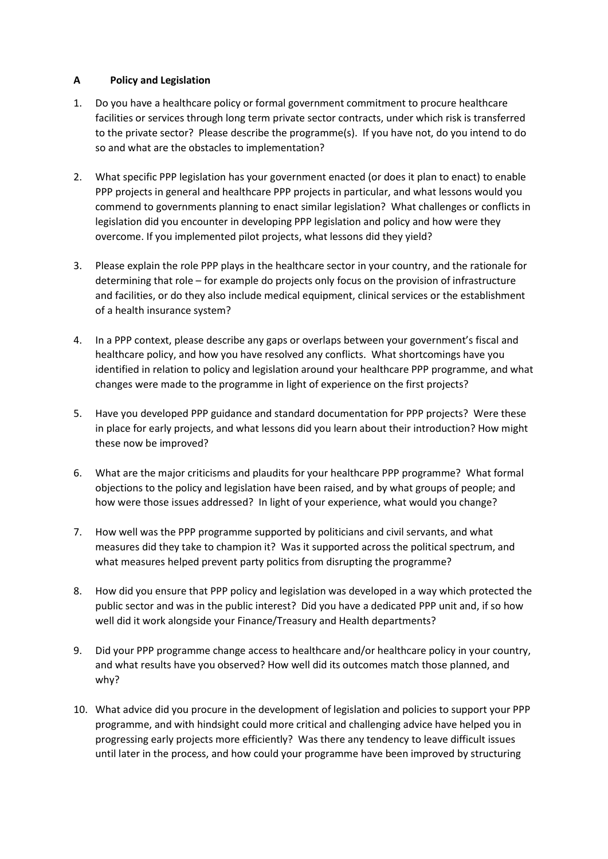## **A Policy and Legislation**

- 1. Do you have a healthcare policy or formal government commitment to procure healthcare facilities or services through long term private sector contracts, under which risk is transferred to the private sector? Please describe the programme(s). If you have not, do you intend to do so and what are the obstacles to implementation?
- 2. What specific PPP legislation has your government enacted (or does it plan to enact) to enable PPP projects in general and healthcare PPP projects in particular, and what lessons would you commend to governments planning to enact similar legislation? What challenges or conflicts in legislation did you encounter in developing PPP legislation and policy and how were they overcome. If you implemented pilot projects, what lessons did they yield?
- 3. Please explain the role PPP plays in the healthcare sector in your country, and the rationale for determining that role – for example do projects only focus on the provision of infrastructure and facilities, or do they also include medical equipment, clinical services or the establishment of a health insurance system?
- 4. In a PPP context, please describe any gaps or overlaps between your government's fiscal and healthcare policy, and how you have resolved any conflicts. What shortcomings have you identified in relation to policy and legislation around your healthcare PPP programme, and what changes were made to the programme in light of experience on the first projects?
- 5. Have you developed PPP guidance and standard documentation for PPP projects? Were these in place for early projects, and what lessons did you learn about their introduction? How might these now be improved?
- 6. What are the major criticisms and plaudits for your healthcare PPP programme? What formal objections to the policy and legislation have been raised, and by what groups of people; and how were those issues addressed? In light of your experience, what would you change?
- 7. How well was the PPP programme supported by politicians and civil servants, and what measures did they take to champion it? Was it supported across the political spectrum, and what measures helped prevent party politics from disrupting the programme?
- 8. How did you ensure that PPP policy and legislation was developed in a way which protected the public sector and was in the public interest? Did you have a dedicated PPP unit and, if so how well did it work alongside your Finance/Treasury and Health departments?
- 9. Did your PPP programme change access to healthcare and/or healthcare policy in your country, and what results have you observed? How well did its outcomes match those planned, and why?
- 10. What advice did you procure in the development of legislation and policies to support your PPP programme, and with hindsight could more critical and challenging advice have helped you in progressing early projects more efficiently? Was there any tendency to leave difficult issues until later in the process, and how could your programme have been improved by structuring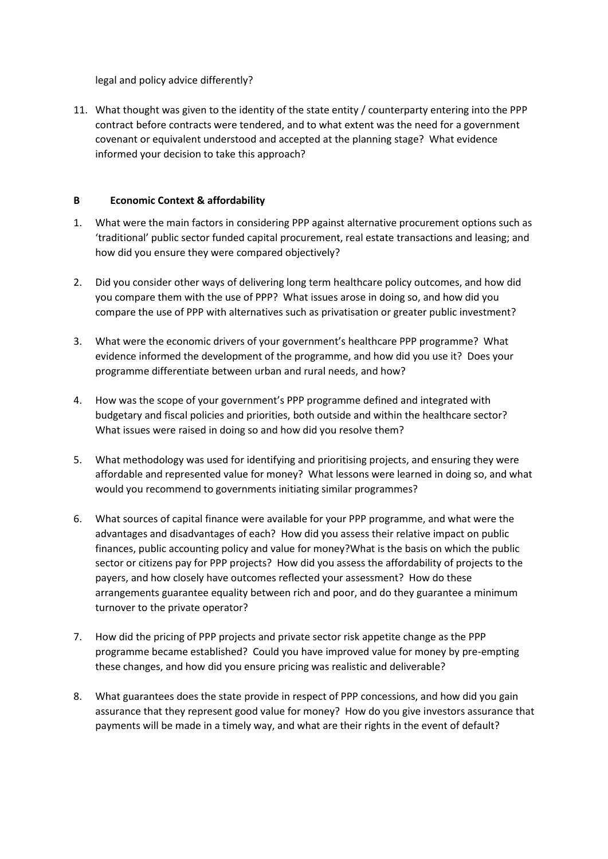legal and policy advice differently?

11. What thought was given to the identity of the state entity / counterparty entering into the PPP contract before contracts were tendered, and to what extent was the need for a government covenant or equivalent understood and accepted at the planning stage? What evidence informed your decision to take this approach?

# **B Economic Context & affordability**

- 1. What were the main factors in considering PPP against alternative procurement options such as 'traditional' public sector funded capital procurement, real estate transactions and leasing; and how did you ensure they were compared objectively?
- 2. Did you consider other ways of delivering long term healthcare policy outcomes, and how did you compare them with the use of PPP? What issues arose in doing so, and how did you compare the use of PPP with alternatives such as privatisation or greater public investment?
- 3. What were the economic drivers of your government's healthcare PPP programme? What evidence informed the development of the programme, and how did you use it? Does your programme differentiate between urban and rural needs, and how?
- 4. How was the scope of your government's PPP programme defined and integrated with budgetary and fiscal policies and priorities, both outside and within the healthcare sector? What issues were raised in doing so and how did you resolve them?
- 5. What methodology was used for identifying and prioritising projects, and ensuring they were affordable and represented value for money? What lessons were learned in doing so, and what would you recommend to governments initiating similar programmes?
- 6. What sources of capital finance were available for your PPP programme, and what were the advantages and disadvantages of each? How did you assess their relative impact on public finances, public accounting policy and value for money?What is the basis on which the public sector or citizens pay for PPP projects? How did you assess the affordability of projects to the payers, and how closely have outcomes reflected your assessment? How do these arrangements guarantee equality between rich and poor, and do they guarantee a minimum turnover to the private operator?
- 7. How did the pricing of PPP projects and private sector risk appetite change as the PPP programme became established? Could you have improved value for money by pre-empting these changes, and how did you ensure pricing was realistic and deliverable?
- 8. What guarantees does the state provide in respect of PPP concessions, and how did you gain assurance that they represent good value for money? How do you give investors assurance that payments will be made in a timely way, and what are their rights in the event of default?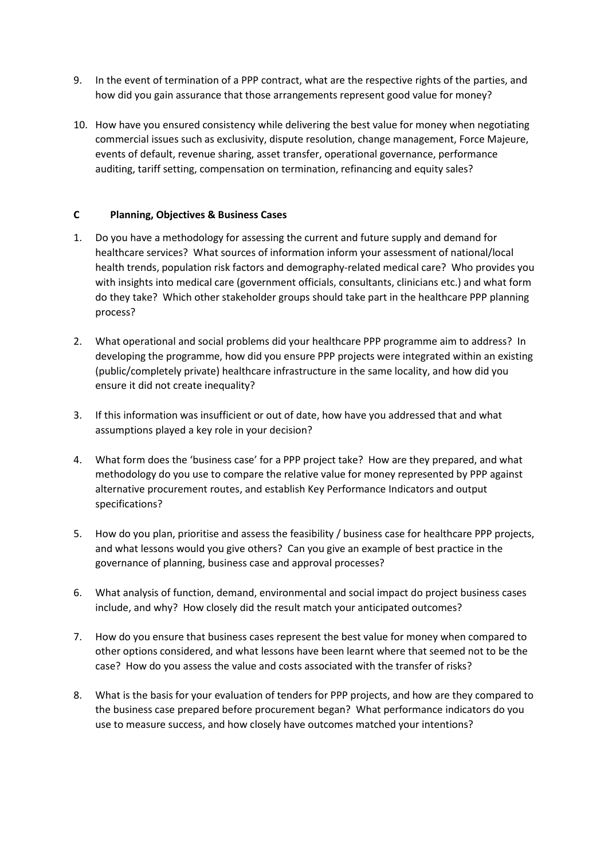- 9. In the event of termination of a PPP contract, what are the respective rights of the parties, and how did you gain assurance that those arrangements represent good value for money?
- 10. How have you ensured consistency while delivering the best value for money when negotiating commercial issues such as exclusivity, dispute resolution, change management, Force Majeure, events of default, revenue sharing, asset transfer, operational governance, performance auditing, tariff setting, compensation on termination, refinancing and equity sales?

# **C Planning, Objectives & Business Cases**

- 1. Do you have a methodology for assessing the current and future supply and demand for healthcare services? What sources of information inform your assessment of national/local health trends, population risk factors and demography-related medical care? Who provides you with insights into medical care (government officials, consultants, clinicians etc.) and what form do they take? Which other stakeholder groups should take part in the healthcare PPP planning process?
- 2. What operational and social problems did your healthcare PPP programme aim to address? In developing the programme, how did you ensure PPP projects were integrated within an existing (public/completely private) healthcare infrastructure in the same locality, and how did you ensure it did not create inequality?
- 3. If this information was insufficient or out of date, how have you addressed that and what assumptions played a key role in your decision?
- 4. What form does the 'business case' for a PPP project take? How are they prepared, and what methodology do you use to compare the relative value for money represented by PPP against alternative procurement routes, and establish Key Performance Indicators and output specifications?
- 5. How do you plan, prioritise and assess the feasibility / business case for healthcare PPP projects, and what lessons would you give others? Can you give an example of best practice in the governance of planning, business case and approval processes?
- 6. What analysis of function, demand, environmental and social impact do project business cases include, and why? How closely did the result match your anticipated outcomes?
- 7. How do you ensure that business cases represent the best value for money when compared to other options considered, and what lessons have been learnt where that seemed not to be the case? How do you assess the value and costs associated with the transfer of risks?
- 8. What is the basis for your evaluation of tenders for PPP projects, and how are they compared to the business case prepared before procurement began? What performance indicators do you use to measure success, and how closely have outcomes matched your intentions?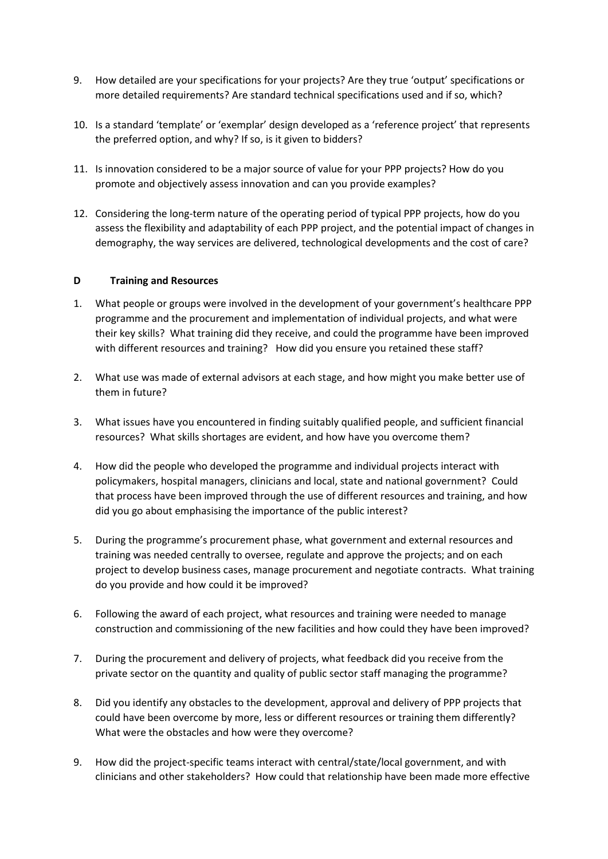- 9. How detailed are your specifications for your projects? Are they true 'output' specifications or more detailed requirements? Are standard technical specifications used and if so, which?
- 10. Is a standard 'template' or 'exemplar' design developed as a 'reference project' that represents the preferred option, and why? If so, is it given to bidders?
- 11. Is innovation considered to be a major source of value for your PPP projects? How do you promote and objectively assess innovation and can you provide examples?
- 12. Considering the long-term nature of the operating period of typical PPP projects, how do you assess the flexibility and adaptability of each PPP project, and the potential impact of changes in demography, the way services are delivered, technological developments and the cost of care?

#### **D Training and Resources**

- 1. What people or groups were involved in the development of your government's healthcare PPP programme and the procurement and implementation of individual projects, and what were their key skills? What training did they receive, and could the programme have been improved with different resources and training? How did you ensure you retained these staff?
- 2. What use was made of external advisors at each stage, and how might you make better use of them in future?
- 3. What issues have you encountered in finding suitably qualified people, and sufficient financial resources? What skills shortages are evident, and how have you overcome them?
- 4. How did the people who developed the programme and individual projects interact with policymakers, hospital managers, clinicians and local, state and national government? Could that process have been improved through the use of different resources and training, and how did you go about emphasising the importance of the public interest?
- 5. During the programme's procurement phase, what government and external resources and training was needed centrally to oversee, regulate and approve the projects; and on each project to develop business cases, manage procurement and negotiate contracts. What training do you provide and how could it be improved?
- 6. Following the award of each project, what resources and training were needed to manage construction and commissioning of the new facilities and how could they have been improved?
- 7. During the procurement and delivery of projects, what feedback did you receive from the private sector on the quantity and quality of public sector staff managing the programme?
- 8. Did you identify any obstacles to the development, approval and delivery of PPP projects that could have been overcome by more, less or different resources or training them differently? What were the obstacles and how were they overcome?
- 9. How did the project-specific teams interact with central/state/local government, and with clinicians and other stakeholders? How could that relationship have been made more effective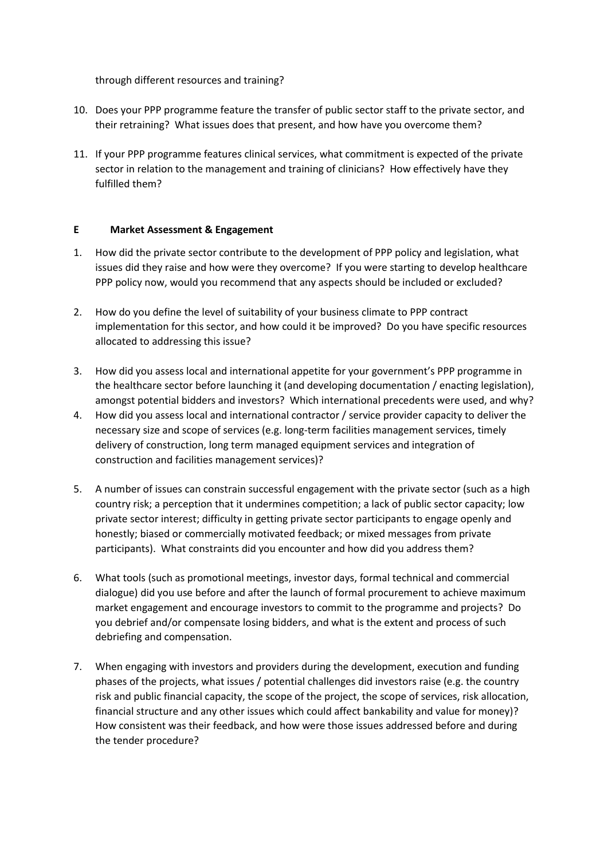through different resources and training?

- 10. Does your PPP programme feature the transfer of public sector staff to the private sector, and their retraining? What issues does that present, and how have you overcome them?
- 11. If your PPP programme features clinical services, what commitment is expected of the private sector in relation to the management and training of clinicians? How effectively have they fulfilled them?

## **E Market Assessment & Engagement**

- 1. How did the private sector contribute to the development of PPP policy and legislation, what issues did they raise and how were they overcome? If you were starting to develop healthcare PPP policy now, would you recommend that any aspects should be included or excluded?
- 2. How do you define the level of suitability of your business climate to PPP contract implementation for this sector, and how could it be improved? Do you have specific resources allocated to addressing this issue?
- 3. How did you assess local and international appetite for your government's PPP programme in the healthcare sector before launching it (and developing documentation / enacting legislation), amongst potential bidders and investors? Which international precedents were used, and why?
- 4. How did you assess local and international contractor / service provider capacity to deliver the necessary size and scope of services (e.g. long-term facilities management services, timely delivery of construction, long term managed equipment services and integration of construction and facilities management services)?
- 5. A number of issues can constrain successful engagement with the private sector (such as a high country risk; a perception that it undermines competition; a lack of public sector capacity; low private sector interest; difficulty in getting private sector participants to engage openly and honestly; biased or commercially motivated feedback; or mixed messages from private participants). What constraints did you encounter and how did you address them?
- 6. What tools (such as promotional meetings, investor days, formal technical and commercial dialogue) did you use before and after the launch of formal procurement to achieve maximum market engagement and encourage investors to commit to the programme and projects? Do you debrief and/or compensate losing bidders, and what is the extent and process of such debriefing and compensation.
- 7. When engaging with investors and providers during the development, execution and funding phases of the projects, what issues / potential challenges did investors raise (e.g. the country risk and public financial capacity, the scope of the project, the scope of services, risk allocation, financial structure and any other issues which could affect bankability and value for money)? How consistent was their feedback, and how were those issues addressed before and during the tender procedure?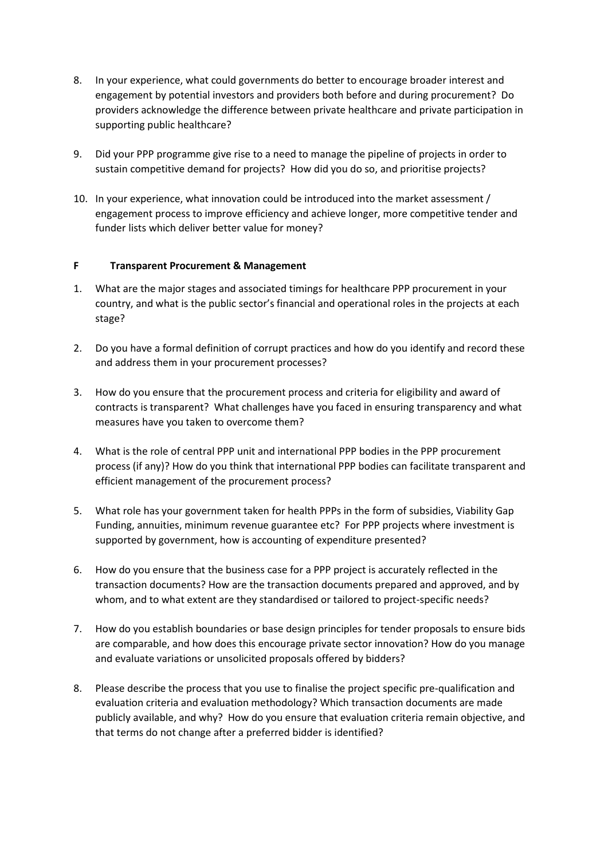- 8. In your experience, what could governments do better to encourage broader interest and engagement by potential investors and providers both before and during procurement? Do providers acknowledge the difference between private healthcare and private participation in supporting public healthcare?
- 9. Did your PPP programme give rise to a need to manage the pipeline of projects in order to sustain competitive demand for projects? How did you do so, and prioritise projects?
- 10. In your experience, what innovation could be introduced into the market assessment / engagement process to improve efficiency and achieve longer, more competitive tender and funder lists which deliver better value for money?

## **F Transparent Procurement & Management**

- 1. What are the major stages and associated timings for healthcare PPP procurement in your country, and what is the public sector's financial and operational roles in the projects at each stage?
- 2. Do you have a formal definition of corrupt practices and how do you identify and record these and address them in your procurement processes?
- 3. How do you ensure that the procurement process and criteria for eligibility and award of contracts is transparent? What challenges have you faced in ensuring transparency and what measures have you taken to overcome them?
- 4. What is the role of central PPP unit and international PPP bodies in the PPP procurement process (if any)? How do you think that international PPP bodies can facilitate transparent and efficient management of the procurement process?
- 5. What role has your government taken for health PPPs in the form of subsidies, Viability Gap Funding, annuities, minimum revenue guarantee etc? For PPP projects where investment is supported by government, how is accounting of expenditure presented?
- 6. How do you ensure that the business case for a PPP project is accurately reflected in the transaction documents? How are the transaction documents prepared and approved, and by whom, and to what extent are they standardised or tailored to project-specific needs?
- 7. How do you establish boundaries or base design principles for tender proposals to ensure bids are comparable, and how does this encourage private sector innovation? How do you manage and evaluate variations or unsolicited proposals offered by bidders?
- 8. Please describe the process that you use to finalise the project specific pre-qualification and evaluation criteria and evaluation methodology? Which transaction documents are made publicly available, and why? How do you ensure that evaluation criteria remain objective, and that terms do not change after a preferred bidder is identified?